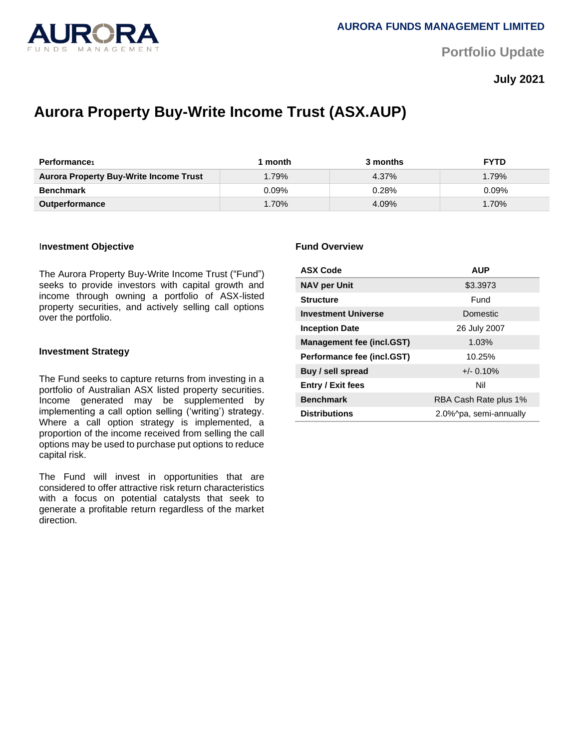

**Portfolio Update** 

**July 2021**

# **Aurora Property Buy-Write Income Trust (ASX.AUP)**

| Performance                                   | month    | 3 months | <b>FYTD</b> |
|-----------------------------------------------|----------|----------|-------------|
| <b>Aurora Property Buy-Write Income Trust</b> | 1.79%    | 4.37%    | 1.79%       |
| <b>Benchmark</b>                              | 0.09%    | 0.28%    | $0.09\%$    |
| <b>Outperformance</b>                         | $1.70\%$ | 4.09%    | 1.70%       |

## I**nvestment Objective**

The Aurora Property Buy-Write Income Trust ("Fund") seeks to provide investors with capital growth and income through owning a portfolio of ASX-listed property securities, and actively selling call options over the portfolio.

#### **Investment Strategy**

The Fund seeks to capture returns from investing in a portfolio of Australian ASX listed property securities. Income generated may be supplemented by implementing a call option selling ('writing') strategy. Where a call option strategy is implemented, a proportion of the income received from selling the call options may be used to purchase put options to reduce capital risk.

The Fund will invest in opportunities that are considered to offer attractive risk return characteristics with a focus on potential catalysts that seek to generate a profitable return regardless of the market direction.

#### **Fund Overview**

| <b>ASX Code</b>                  | <b>AUP</b>             |  |
|----------------------------------|------------------------|--|
| <b>NAV per Unit</b>              | \$3.3973               |  |
| <b>Structure</b>                 | Fund                   |  |
| <b>Investment Universe</b>       | Domestic               |  |
| <b>Inception Date</b>            | 26 July 2007           |  |
| <b>Management fee (incl.GST)</b> | 1.03%                  |  |
| Performance fee (incl.GST)       | 10.25%                 |  |
| Buy / sell spread                | $+/- 0.10%$            |  |
| <b>Entry / Exit fees</b>         | Nil                    |  |
| <b>Benchmark</b>                 | RBA Cash Rate plus 1%  |  |
| <b>Distributions</b>             | 2.0%^pa, semi-annually |  |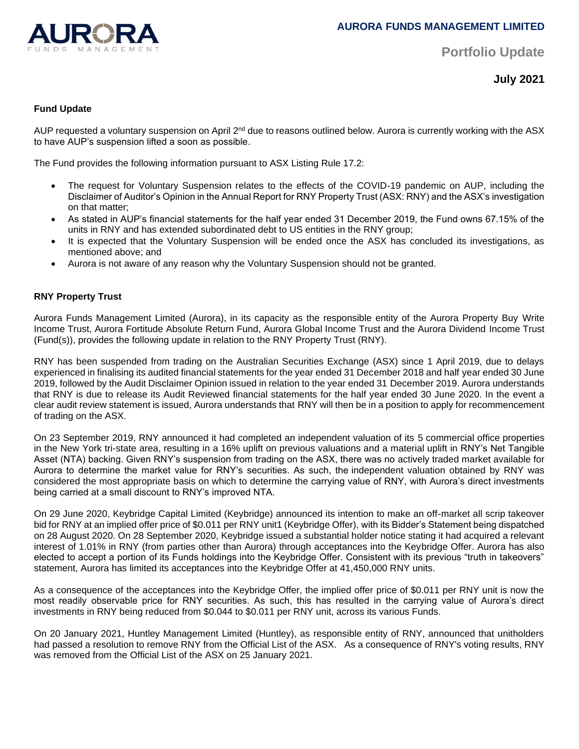

**Portfolio Update** 

**July 2021**

# **Fund Update**

AUP requested a voluntary suspension on April 2<sup>nd</sup> due to reasons outlined below. Aurora is currently working with the ASX to have AUP's suspension lifted a soon as possible.

The Fund provides the following information pursuant to ASX Listing Rule 17.2:

- The request for Voluntary Suspension relates to the effects of the COVID-19 pandemic on AUP, including the Disclaimer of Auditor's Opinion in the Annual Report for RNY Property Trust (ASX: RNY) and the ASX's investigation on that matter;
- As stated in AUP's financial statements for the half year ended 31 December 2019, the Fund owns 67.15% of the units in RNY and has extended subordinated debt to US entities in the RNY group;
- It is expected that the Voluntary Suspension will be ended once the ASX has concluded its investigations, as mentioned above; and
- Aurora is not aware of any reason why the Voluntary Suspension should not be granted.

# **RNY Property Trust**

Aurora Funds Management Limited (Aurora), in its capacity as the responsible entity of the Aurora Property Buy Write Income Trust, Aurora Fortitude Absolute Return Fund, Aurora Global Income Trust and the Aurora Dividend Income Trust (Fund(s)), provides the following update in relation to the RNY Property Trust (RNY).

RNY has been suspended from trading on the Australian Securities Exchange (ASX) since 1 April 2019, due to delays experienced in finalising its audited financial statements for the year ended 31 December 2018 and half year ended 30 June 2019, followed by the Audit Disclaimer Opinion issued in relation to the year ended 31 December 2019. Aurora understands that RNY is due to release its Audit Reviewed financial statements for the half year ended 30 June 2020. In the event a clear audit review statement is issued, Aurora understands that RNY will then be in a position to apply for recommencement of trading on the ASX.

On 23 September 2019, RNY announced it had completed an independent valuation of its 5 commercial office properties in the New York tri-state area, resulting in a 16% uplift on previous valuations and a material uplift in RNY's Net Tangible Asset (NTA) backing. Given RNY's suspension from trading on the ASX, there was no actively traded market available for Aurora to determine the market value for RNY's securities. As such, the independent valuation obtained by RNY was considered the most appropriate basis on which to determine the carrying value of RNY, with Aurora's direct investments being carried at a small discount to RNY's improved NTA.

On 29 June 2020, Keybridge Capital Limited (Keybridge) announced its intention to make an off-market all scrip takeover bid for RNY at an implied offer price of \$0.011 per RNY unit1 (Keybridge Offer), with its Bidder's Statement being dispatched on 28 August 2020. On 28 September 2020, Keybridge issued a substantial holder notice stating it had acquired a relevant interest of 1.01% in RNY (from parties other than Aurora) through acceptances into the Keybridge Offer. Aurora has also elected to accept a portion of its Funds holdings into the Keybridge Offer. Consistent with its previous "truth in takeovers" statement, Aurora has limited its acceptances into the Keybridge Offer at 41,450,000 RNY units.

As a consequence of the acceptances into the Keybridge Offer, the implied offer price of \$0.011 per RNY unit is now the most readily observable price for RNY securities. As such, this has resulted in the carrying value of Aurora's direct investments in RNY being reduced from \$0.044 to \$0.011 per RNY unit, across its various Funds.

On 20 January 2021, Huntley Management Limited (Huntley), as responsible entity of RNY, announced that unitholders had passed a resolution to remove RNY from the Official List of the ASX. As a consequence of RNY's voting results, RNY was removed from the Official List of the ASX on 25 January 2021.